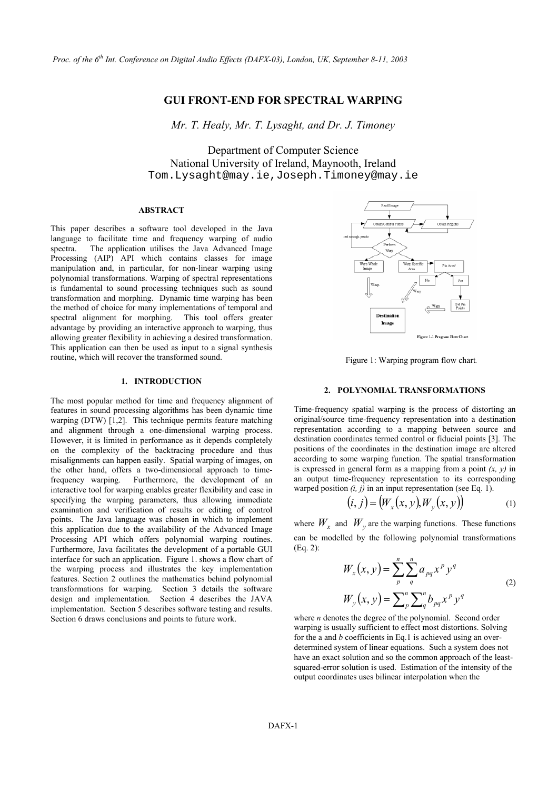# **GUI FRONT-END FOR SPECTRAL WARPING**

*Mr. T. Healy, Mr. T. Lysaght, and Dr. J. Timoney* 

Department of Computer Science National University of Ireland, Maynooth, Ireland Tom.Lysaght@may.ie,Joseph.Timoney@may.ie

#### **ABSTRACT**

This paper describes a software tool developed in the Java language to facilitate time and frequency warping of audio spectra. The application utilises the Java Advanced Image Processing (AIP) API which contains classes for image manipulation and, in particular, for non-linear warping using polynomial transformations. Warping of spectral representations is fundamental to sound processing techniques such as sound transformation and morphing. Dynamic time warping has been the method of choice for many implementations of temporal and spectral alignment for morphing. This tool offers greater advantage by providing an interactive approach to warping, thus allowing greater flexibility in achieving a desired transformation. This application can then be used as input to a signal synthesis routine, which will recover the transformed sound. Figure 1: Warping program flow chart*.*

# **1. INTRODUCTION**

The most popular method for time and frequency alignment of features in sound processing algorithms has been dynamic time warping (DTW) [1,2]. This technique permits feature matching and alignment through a one-dimensional warping process. However, it is limited in performance as it depends completely on the complexity of the backtracing procedure and thus misalignments can happen easily. Spatial warping of images, on the other hand, offers a two-dimensional approach to timefrequency warping. Furthermore, the development of an interactive tool for warping enables greater flexibility and ease in specifying the warping parameters, thus allowing immediate examination and verification of results or editing of control points. The Java language was chosen in which to implement this application due to the availability of the Advanced Image Processing API which offers polynomial warping routines. Furthermore, Java facilitates the development of a portable GUI interface for such an application. Figure 1. shows a flow chart of the warping process and illustrates the key implementation features. Section 2 outlines the mathematics behind polynomial transformations for warping. Section 3 details the software design and implementation. Section 4 describes the JAVA implementation. Section 5 describes software testing and results. Section 6 draws conclusions and points to future work.



#### **2. POLYNOMIAL TRANSFORMATIONS**

Time-frequency spatial warping is the process of distorting an original/source time-frequency representation into a destination representation according to a mapping between source and destination coordinates termed control or fiducial points [3]. The positions of the coordinates in the destination image are altered according to some warping function. The spatial transformation is expressed in general form as a mapping from a point *(x, y)* in an output time-frequency representation to its corresponding warped position *(i, j)* in an input representation (see Eq. 1).

$$
(i, j) = (W_x(x, y), W_y(x, y))
$$
 (1)

where  $W_x$  and  $W_y$  are the warping functions. These functions can be modelled by the following polynomial transformations (Eq. 2):

$$
W_x(x, y) = \sum_{p}^{n} \sum_{q}^{n} a_{pq} x^p y^q
$$
  

$$
W_y(x, y) = \sum_{p}^{n} \sum_{q}^{n} b_{pq} x^p y^q
$$
 (2)

where *n* denotes the degree of the polynomial. Second order warping is usually sufficient to effect most distortions. Solving for the a and *b* coefficients in Eq.1 is achieved using an overdetermined system of linear equations. Such a system does not have an exact solution and so the common approach of the leastsquared-error solution is used. Estimation of the intensity of the output coordinates uses bilinear interpolation when the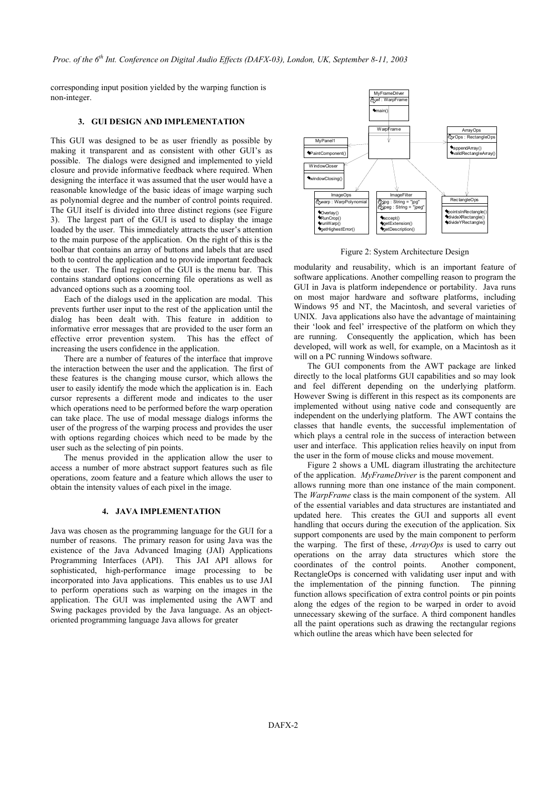corresponding input position yielded by the warping function is non-integer.

# **3. GUI DESIGN AND IMPLEMENTATION**

This GUI was designed to be as user friendly as possible by making it transparent and as consistent with other GUI's as possible. The dialogs were designed and implemented to yield closure and provide informative feedback where required. When designing the interface it was assumed that the user would have a reasonable knowledge of the basic ideas of image warping such as polynomial degree and the number of control points required. The GUI itself is divided into three distinct regions (see Figure 3). The largest part of the GUI is used to display the image loaded by the user. This immediately attracts the user's attention to the main purpose of the application. On the right of this is the toolbar that contains an array of buttons and labels that are used both to control the application and to provide important feedback to the user. The final region of the GUI is the menu bar. This contains standard options concerning file operations as well as advanced options such as a zooming tool.

Each of the dialogs used in the application are modal. This prevents further user input to the rest of the application until the dialog has been dealt with. This feature in addition to informative error messages that are provided to the user form an effective error prevention system. This has the effect of increasing the users confidence in the application.

There are a number of features of the interface that improve the interaction between the user and the application. The first of these features is the changing mouse cursor, which allows the user to easily identify the mode which the application is in. Each cursor represents a different mode and indicates to the user which operations need to be performed before the warp operation can take place. The use of modal message dialogs informs the user of the progress of the warping process and provides the user with options regarding choices which need to be made by the user such as the selecting of pin points.

access a number of more abstract support features such as file operations, zoom feature and a feature which allows the user to obtain the intensity values of each pixel in the image.

## **4. JAVA IMPLEMENTATION**

Java was chosen as the programming language for the GUI for a number of reasons. The primary reason for using Java was the existence of the Java Advanced Imaging (JAI) Applications Programming Interfaces (API). This JAI API allows for sophisticated, high-performance image processing to be incorporated into Java applications. This enables us to use JAI to perform operations such as warping on the images in the application. The GUI was implemented using the AWT and Swing packages provided by the Java language. As an objectoriented programming language Java allows for greater



Figure 2: System Architecture Design

modularity and reusability, which is an important feature of software applications. Another compelling reason to program the GUI in Java is platform independence or portability. Java runs on most major hardware and software platforms, including Windows 95 and NT, the Macintosh, and several varieties of UNIX. Java applications also have the advantage of maintaining their 'look and feel' irrespective of the platform on which they are running. Consequently the application, which has been developed, will work as well, for example, on a Macintosh as it will on a PC running Windows software.

The GUI components from the AWT package are linked directly to the local platforms GUI capabilities and so may look and feel different depending on the underlying platform. However Swing is different in this respect as its components are implemented without using native code and consequently are independent on the underlying platform. The AWT contains the classes that handle events, the successful implementation of which plays a central role in the success of interaction between user and interface. This application relies heavily on input from The menus provided in the application allow the user to the user in the form of mouse clicks and mouse movement.

Figure 2 shows a UML diagram illustrating the architecture of the application. *MyFrameDriver* is the parent component and allows running more than one instance of the main component. The *WarpFrame* class is the main component of the system. All of the essential variables and data structures are instantiated and updated here. This creates the GUI and supports all event handling that occurs during the execution of the application. Six support components are used by the main component to perform the warping. The first of these, *ArrayOps* is used to carry out operations on the array data structures which store the coordinates of the control points. Another component, RectangleOps is concerned with validating user input and with the implementation of the pinning function. The pinning function allows specification of extra control points or pin points along the edges of the region to be warped in order to avoid unnecessary skewing of the surface. A third component handles all the paint operations such as drawing the rectangular regions which outline the areas which have been selected for